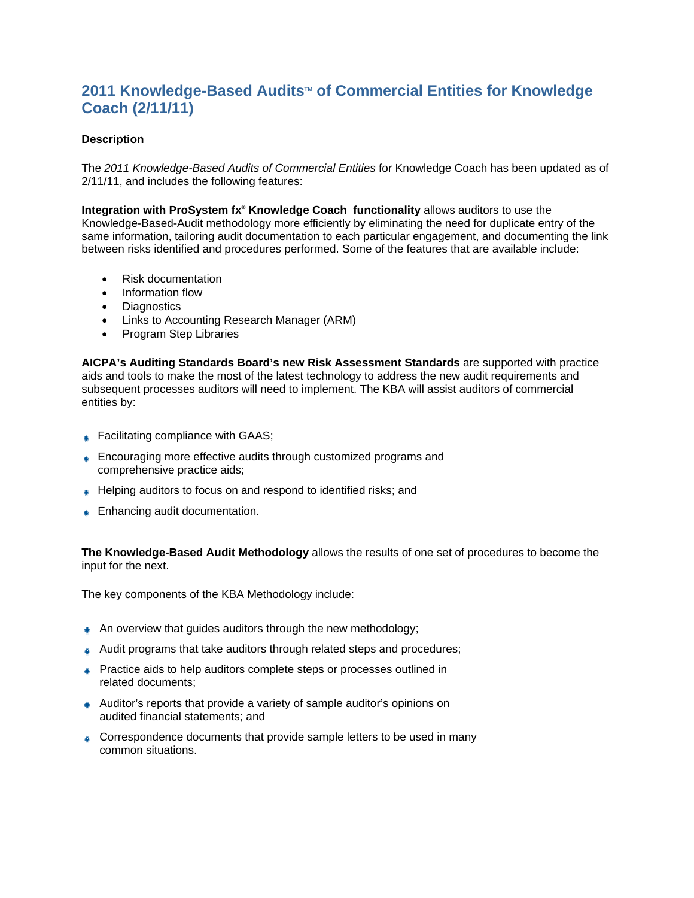## **2011 Knowledge-Based Audits<sup>™</sup> of Commercial Entities for Knowledge Coach (2/11/11)**

## **Description**

The *2011 Knowledge-Based Audits of Commercial Entities* for Knowledge Coach has been updated as of 2/11/11, and includes the following features:

**Integration with ProSystem fx<sup>®</sup> Knowledge Coach functionality allows auditors to use the** Knowledge-Based-Audit methodology more efficiently by eliminating the need for duplicate entry of the same information, tailoring audit documentation to each particular engagement, and documenting the link between risks identified and procedures performed. Some of the features that are available include:

- Risk documentation
- Information flow
- Diagnostics
- Links to Accounting Research Manager (ARM)
- Program Step Libraries

**AICPA's Auditing Standards Board's new Risk Assessment Standards** are supported with practice aids and tools to make the most of the latest technology to address the new audit requirements and subsequent processes auditors will need to implement. The KBA will assist auditors of commercial entities by:

- **Eacilitating compliance with GAAS;**
- **Encouraging more effective audits through customized programs and** comprehensive practice aids;
- ↓ Helping auditors to focus on and respond to identified risks; and
- **Enhancing audit documentation.**

**The Knowledge-Based Audit Methodology** allows the results of one set of procedures to become the input for the next.

The key components of the KBA Methodology include:

- An overview that quides auditors through the new methodology;
- Audit programs that take auditors through related steps and procedures;
- **Practice aids to help auditors complete steps or processes outlined in** related documents;
- Auditor's reports that provide a variety of sample auditor's opinions on audited financial statements; and
- Correspondence documents that provide sample letters to be used in many common situations.